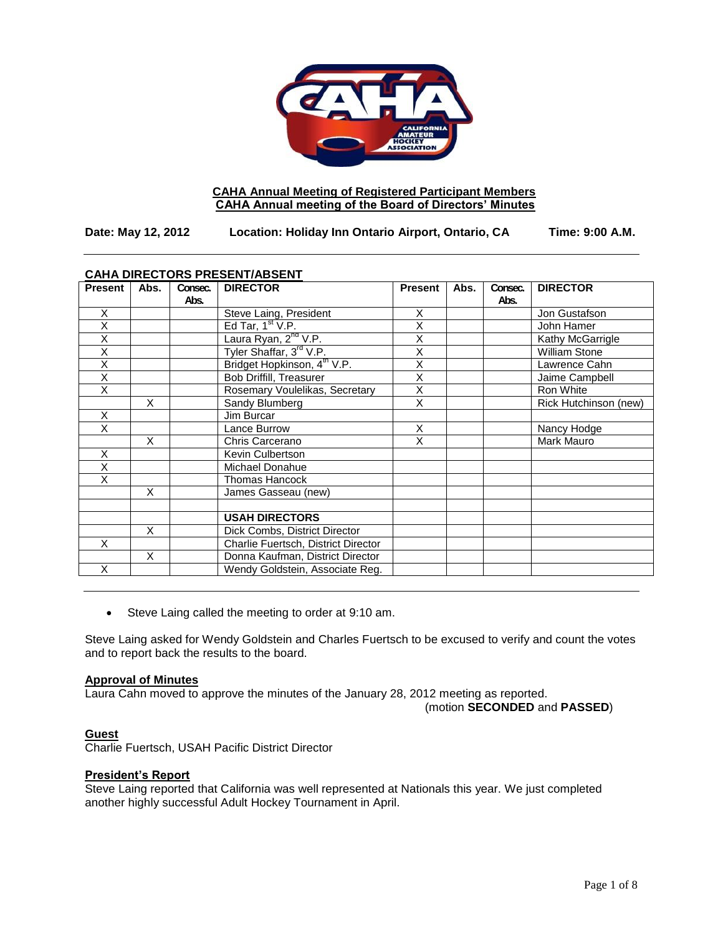

# **CAHA Annual Meeting of Registered Participant Members CAHA Annual meeting of the Board of Directors' Minutes**

**Date: May 12, 2012 Location: Holiday Inn Ontario Airport, Ontario, CA Time: 9:00 A.M.**

| <b>CAHA DIRECTORS PRESENT/ABSENT</b> |      |                 |                                         |                         |      |                 |                       |
|--------------------------------------|------|-----------------|-----------------------------------------|-------------------------|------|-----------------|-----------------------|
| <b>Present</b>                       | Abs. | Consec.<br>Abs. | <b>DIRECTOR</b>                         | <b>Present</b>          | Abs. | Consec.<br>Abs. | <b>DIRECTOR</b>       |
| X                                    |      |                 | Steve Laing, President                  | X                       |      |                 | Jon Gustafson         |
| X                                    |      |                 | Ed Tar, $1st$ V.P.                      | X                       |      |                 | John Hamer            |
| X                                    |      |                 | Laura Ryan, 2 <sup>nd</sup> V.P.        | X                       |      |                 | Kathy McGarrigle      |
| X                                    |      |                 | Tyler Shaffar, 3 <sup>rd</sup> V.P.     | $\overline{\mathsf{x}}$ |      |                 | <b>William Stone</b>  |
| $\overline{\mathsf{x}}$              |      |                 | Bridget Hopkinson, 4 <sup>th</sup> V.P. | $\overline{\mathsf{x}}$ |      |                 | Lawrence Cahn         |
| $\overline{X}$                       |      |                 | <b>Bob Driffill, Treasurer</b>          | $\overline{\mathsf{x}}$ |      |                 | Jaime Campbell        |
| X                                    |      |                 | Rosemary Voulelikas, Secretary          | $\overline{\mathsf{x}}$ |      |                 | Ron White             |
|                                      | X    |                 | Sandy Blumberg                          | X                       |      |                 | Rick Hutchinson (new) |
| X                                    |      |                 | Jim Burcar                              |                         |      |                 |                       |
| X                                    |      |                 | Lance Burrow                            | X                       |      |                 | Nancy Hodge           |
|                                      | X    |                 | Chris Carcerano                         | X                       |      |                 | Mark Mauro            |
| X                                    |      |                 | Kevin Culbertson                        |                         |      |                 |                       |
| X                                    |      |                 | Michael Donahue                         |                         |      |                 |                       |
| X                                    |      |                 | Thomas Hancock                          |                         |      |                 |                       |
|                                      | X    |                 | James Gasseau (new)                     |                         |      |                 |                       |
|                                      |      |                 |                                         |                         |      |                 |                       |
|                                      |      |                 | <b>USAH DIRECTORS</b>                   |                         |      |                 |                       |
|                                      | X    |                 | Dick Combs, District Director           |                         |      |                 |                       |
| X                                    |      |                 | Charlie Fuertsch, District Director     |                         |      |                 |                       |
|                                      | X    |                 | Donna Kaufman, District Director        |                         |      |                 |                       |
| X                                    |      |                 | Wendy Goldstein, Associate Reg.         |                         |      |                 |                       |

Steve Laing called the meeting to order at 9:10 am.

Steve Laing asked for Wendy Goldstein and Charles Fuertsch to be excused to verify and count the votes and to report back the results to the board.

#### **Approval of Minutes**

Laura Cahn moved to approve the minutes of the January 28, 2012 meeting as reported.

(motion **SECONDED** and **PASSED**)

## **Guest**

Charlie Fuertsch, USAH Pacific District Director

#### **President's Report**

**Steve Laing reported that California was well represented at Nationals this year. We just completed** another highly successful Adult Hockey Tournament in April.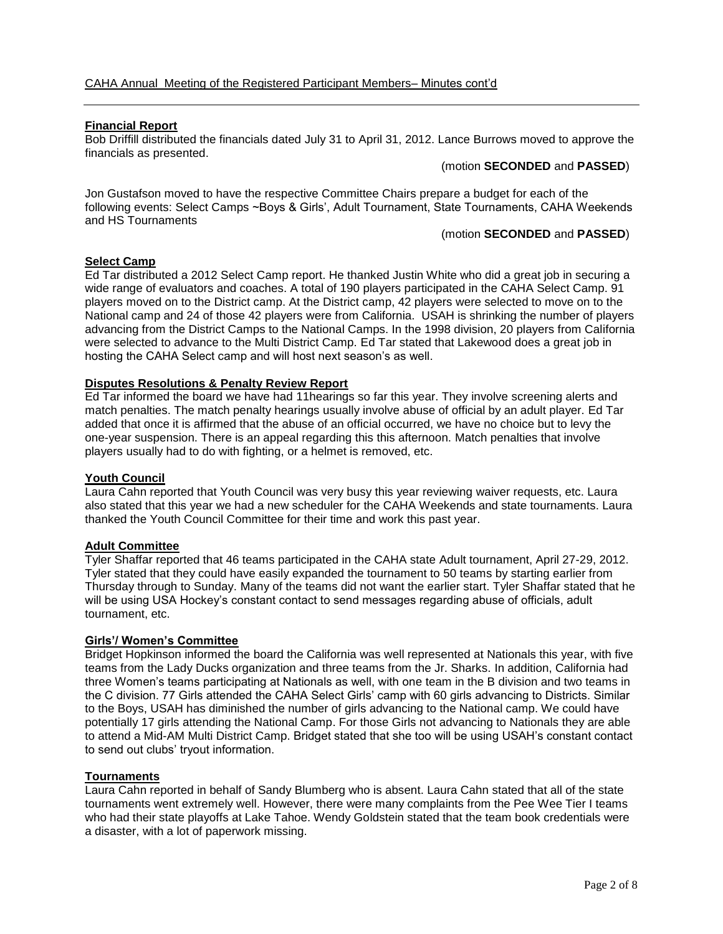## **Financial Report**

Bob Driffill distributed the financials dated July 31 to April 31, 2012. Lance Burrows moved to approve the financials as presented.

### (motion **SECONDED** and **PASSED**)

Jon Gustafson moved to have the respective Committee Chairs prepare a budget for each of the following events: Select Camps ~Boys & Girls', Adult Tournament, State Tournaments, CAHA Weekends and HS Tournaments

## (motion **SECONDED** and **PASSED**)

## **Select Camp**

Ed Tar distributed a 2012 Select Camp report. He thanked Justin White who did a great job in securing a wide range of evaluators and coaches. A total of 190 players participated in the CAHA Select Camp. 91 players moved on to the District camp. At the District camp, 42 players were selected to move on to the National camp and 24 of those 42 players were from California. USAH is shrinking the number of players advancing from the District Camps to the National Camps. In the 1998 division, 20 players from California were selected to advance to the Multi District Camp. Ed Tar stated that Lakewood does a great job in hosting the CAHA Select camp and will host next season's as well.

## **Disputes Resolutions & Penalty Review Report**

Ed Tar informed the board we have had 11hearings so far this year. They involve screening alerts and match penalties. The match penalty hearings usually involve abuse of official by an adult player. Ed Tar added that once it is affirmed that the abuse of an official occurred, we have no choice but to levy the one-year suspension. There is an appeal regarding this this afternoon. Match penalties that involve players usually had to do with fighting, or a helmet is removed, etc.

## **Youth Council**

Laura Cahn reported that Youth Council was very busy this year reviewing waiver requests, etc. Laura also stated that this year we had a new scheduler for the CAHA Weekends and state tournaments. Laura thanked the Youth Council Committee for their time and work this past year.

## **Adult Committee**

Tyler Shaffar reported that 46 teams participated in the CAHA state Adult tournament, April 27-29, 2012. Tyler stated that they could have easily expanded the tournament to 50 teams by starting earlier from Thursday through to Sunday. Many of the teams did not want the earlier start. Tyler Shaffar stated that he will be using USA Hockey's constant contact to send messages regarding abuse of officials, adult tournament, etc.

### **Girls'/ Women's Committee**

Bridget Hopkinson informed the board the California was well represented at Nationals this year, with five teams from the Lady Ducks organization and three teams from the Jr. Sharks. In addition, California had three Women's teams participating at Nationals as well, with one team in the B division and two teams in the C division. 77 Girls attended the CAHA Select Girls' camp with 60 girls advancing to Districts. Similar to the Boys, USAH has diminished the number of girls advancing to the National camp. We could have potentially 17 girls attending the National Camp. For those Girls not advancing to Nationals they are able to attend a Mid-AM Multi District Camp. Bridget stated that she too will be using USAH's constant contact to send out clubs' tryout information.

#### **Tournaments**

Laura Cahn reported in behalf of Sandy Blumberg who is absent. Laura Cahn stated that all of the state tournaments went extremely well. However, there were many complaints from the Pee Wee Tier I teams who had their state playoffs at Lake Tahoe. Wendy Goldstein stated that the team book credentials were a disaster, with a lot of paperwork missing.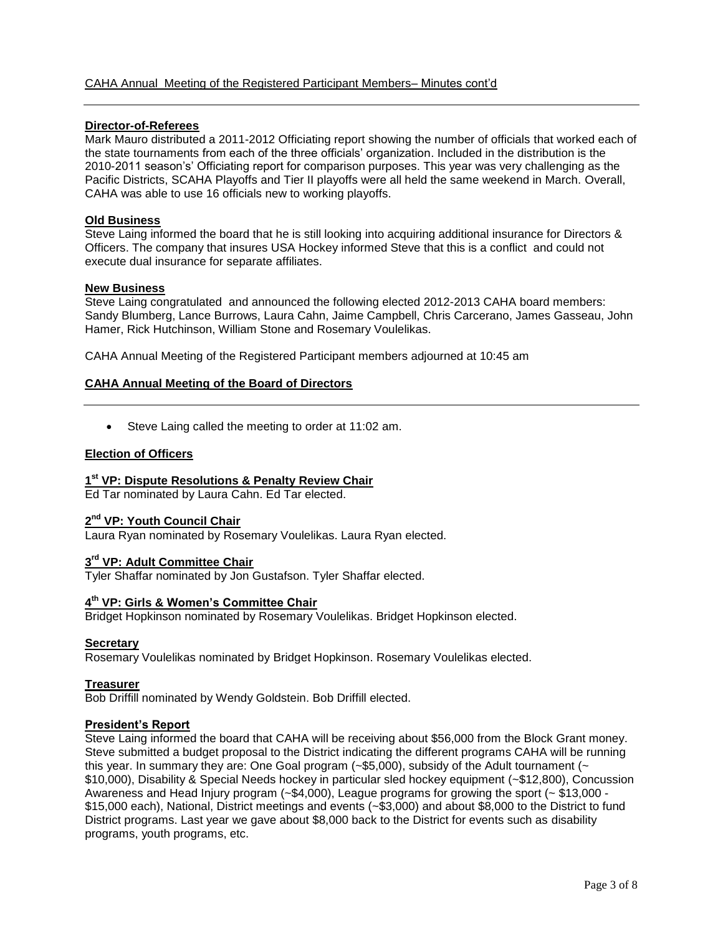# **Director-of-Referees**

Mark Mauro distributed a 2011-2012 Officiating report showing the number of officials that worked each of the state tournaments from each of the three officials' organization. Included in the distribution is the 2010-2011 season's' Officiating report for comparison purposes. This year was very challenging as the Pacific Districts, SCAHA Playoffs and Tier II playoffs were all held the same weekend in March. Overall, CAHA was able to use 16 officials new to working playoffs.

# **Old Business**

Steve Laing informed the board that he is still looking into acquiring additional insurance for Directors & Officers. The company that insures USA Hockey informed Steve that this is a conflict and could not execute dual insurance for separate affiliates.

## **New Business**

Steve Laing congratulated and announced the following elected 2012-2013 CAHA board members: Sandy Blumberg, Lance Burrows, Laura Cahn, Jaime Campbell, Chris Carcerano, James Gasseau, John Hamer, Rick Hutchinson, William Stone and Rosemary Voulelikas.

CAHA Annual Meeting of the Registered Participant members adjourned at 10:45 am

# **CAHA Annual Meeting of the Board of Directors**

Steve Laing called the meeting to order at 11:02 am.

## **Election of Officers**

# **1 st VP: Dispute Resolutions & Penalty Review Chair**

Ed Tar nominated by Laura Cahn. Ed Tar elected.

# **2 nd VP: Youth Council Chair**

Laura Ryan nominated by Rosemary Voulelikas. Laura Ryan elected.

# **3 rd VP: Adult Committee Chair**

Tyler Shaffar nominated by Jon Gustafson. Tyler Shaffar elected.

# **4 th VP: Girls & Women's Committee Chair**

Bridget Hopkinson nominated by Rosemary Voulelikas. Bridget Hopkinson elected.

## **Secretary**

Rosemary Voulelikas nominated by Bridget Hopkinson. Rosemary Voulelikas elected.

## **Treasurer**

Bob Driffill nominated by Wendy Goldstein. Bob Driffill elected.

## **President's Report**

Steve Laing informed the board that CAHA will be receiving about \$56,000 from the Block Grant money. Steve submitted a budget proposal to the District indicating the different programs CAHA will be running this year. In summary they are: One Goal program  $(-\$5,000)$ , subsidy of the Adult tournament  $(-\$$ \$10,000), Disability & Special Needs hockey in particular sled hockey equipment (~\$12,800), Concussion Awareness and Head Injury program (~\$4,000), League programs for growing the sport (~ \$13,000 - \$15,000 each), National, District meetings and events (~\$3,000) and about \$8,000 to the District to fund District programs. Last year we gave about \$8,000 back to the District for events such as disability programs, youth programs, etc.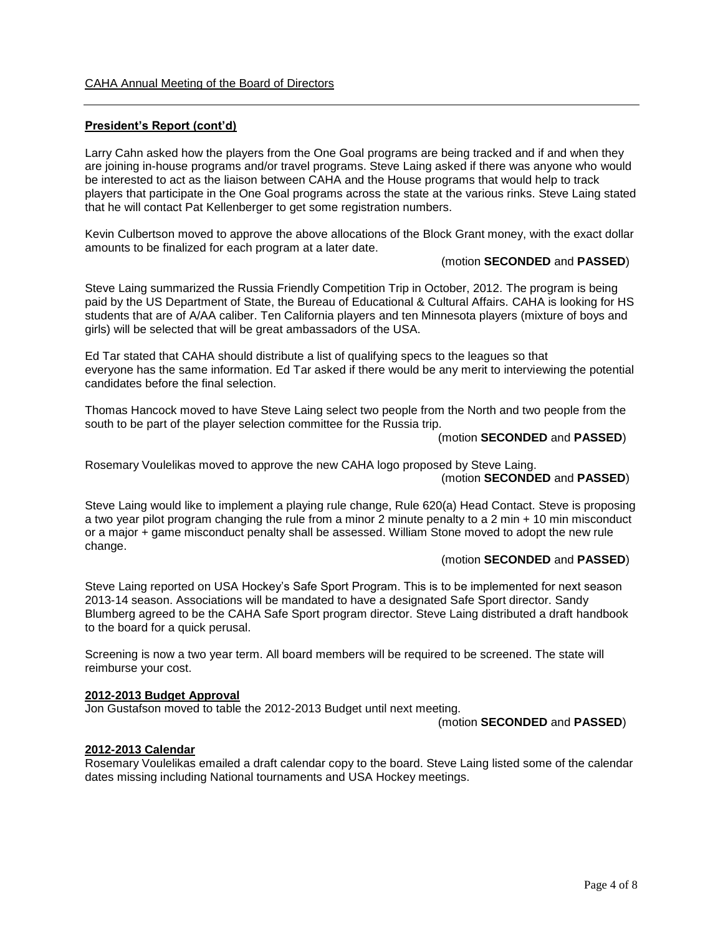# **President's Report (cont'd)**

Larry Cahn asked how the players from the One Goal programs are being tracked and if and when they are joining in-house programs and/or travel programs. Steve Laing asked if there was anyone who would be interested to act as the liaison between CAHA and the House programs that would help to track players that participate in the One Goal programs across the state at the various rinks. Steve Laing stated that he will contact Pat Kellenberger to get some registration numbers.

Kevin Culbertson moved to approve the above allocations of the Block Grant money, with the exact dollar amounts to be finalized for each program at a later date.

#### (motion **SECONDED** and **PASSED**)

Steve Laing summarized the Russia Friendly Competition Trip in October, 2012. The program is being paid by the US Department of State, the Bureau of Educational & Cultural Affairs. CAHA is looking for HS students that are of A/AA caliber. Ten California players and ten Minnesota players (mixture of boys and girls) will be selected that will be great ambassadors of the USA.

Ed Tar stated that CAHA should distribute a list of qualifying specs to the leagues so that everyone has the same information. Ed Tar asked if there would be any merit to interviewing the potential candidates before the final selection.

Thomas Hancock moved to have Steve Laing select two people from the North and two people from the south to be part of the player selection committee for the Russia trip.

#### (motion **SECONDED** and **PASSED**)

Rosemary Voulelikas moved to approve the new CAHA logo proposed by Steve Laing. (motion **SECONDED** and **PASSED**)

Steve Laing would like to implement a playing rule change, Rule 620(a) Head Contact. Steve is proposing a two year pilot program changing the rule from a minor 2 minute penalty to a 2 min + 10 min misconduct or a major + game misconduct penalty shall be assessed. William Stone moved to adopt the new rule change.

### (motion **SECONDED** and **PASSED**)

Steve Laing reported on USA Hockey's Safe Sport Program. This is to be implemented for next season 2013-14 season. Associations will be mandated to have a designated Safe Sport director. Sandy Blumberg agreed to be the CAHA Safe Sport program director. Steve Laing distributed a draft handbook to the board for a quick perusal.

Screening is now a two year term. All board members will be required to be screened. The state will reimburse your cost.

#### **2012-2013 Budget Approval**

Jon Gustafson moved to table the 2012-2013 Budget until next meeting.

(motion **SECONDED** and **PASSED**)

#### **2012-2013 Calendar**

Rosemary Voulelikas emailed a draft calendar copy to the board. Steve Laing listed some of the calendar dates missing including National tournaments and USA Hockey meetings.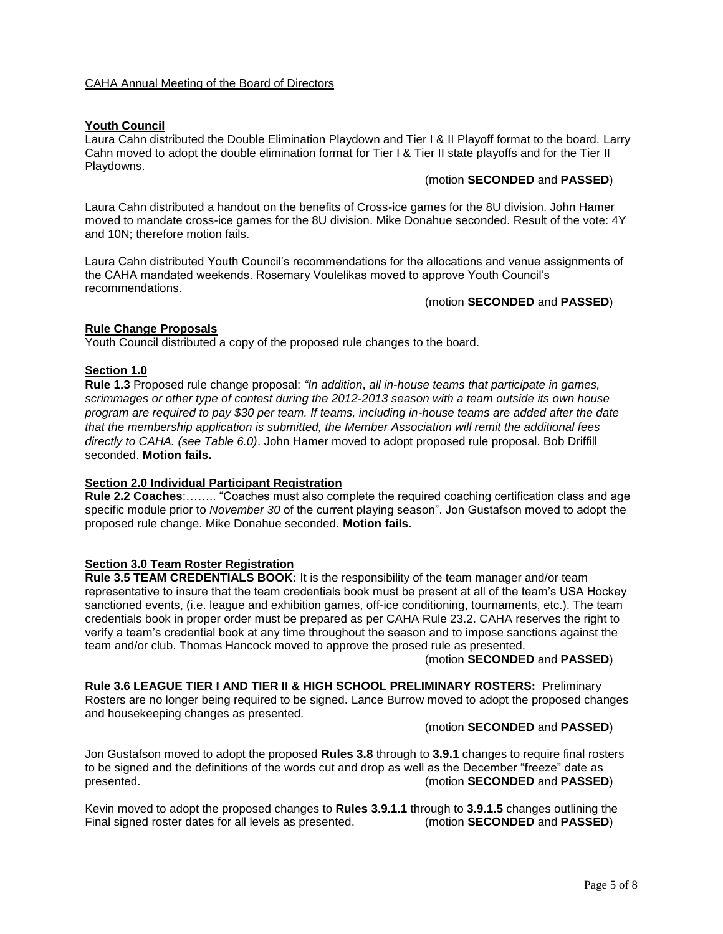### **Youth Council**

Laura Cahn distributed the Double Elimination Playdown and Tier I & II Playoff format to the board. Larry Cahn moved to adopt the double elimination format for Tier I & Tier II state playoffs and for the Tier II Playdowns.

#### (motion **SECONDED** and **PASSED**)

Laura Cahn distributed a handout on the benefits of Cross-ice games for the 8U division. John Hamer moved to mandate cross-ice games for the 8U division. Mike Donahue seconded. Result of the vote: 4Y and 10N; therefore motion fails.

Laura Cahn distributed Youth Council's recommendations for the allocations and venue assignments of the CAHA mandated weekends. Rosemary Voulelikas moved to approve Youth Council's recommendations.

(motion **SECONDED** and **PASSED**)

### **Rule Change Proposals**

Youth Council distributed a copy of the proposed rule changes to the board.

# **Section 1.0**

**Rule 1.3** Proposed rule change proposal: *"In addition*, *all in-house teams that participate in games, scrimmages or other type of contest during the 2012-2013 season with a team outside its own house program are required to pay \$30 per team. If teams, including in-house teams are added after the date that the membership application is submitted, the Member Association will remit the additional fees directly to CAHA. (see Table 6.0)*. John Hamer moved to adopt proposed rule proposal. Bob Driffill seconded. **Motion fails.**

# **Section 2.0 Individual Participant Registration**

**Rule 2.2 Coaches**:…….. "Coaches must also complete the required coaching certification class and age specific module prior to *November 30* of the current playing season". Jon Gustafson moved to adopt the proposed rule change. Mike Donahue seconded. **Motion fails.**

# **Section 3.0 Team Roster Registration**

**Rule 3.5 TEAM CREDENTIALS BOOK:** It is the responsibility of the team manager and/or team representative to insure that the team credentials book must be present at all of the team's USA Hockey sanctioned events, (i.e. league and exhibition games, off-ice conditioning, tournaments, etc.). The team credentials book in proper order must be prepared as per CAHA Rule 23.2. CAHA reserves the right to verify a team's credential book at any time throughout the season and to impose sanctions against the team and/or club. Thomas Hancock moved to approve the prosed rule as presented.

(motion **SECONDED** and **PASSED**)

**Rule 3.6 LEAGUE TIER I AND TIER II & HIGH SCHOOL PRELIMINARY ROSTERS:** Preliminary Rosters are no longer being required to be signed. Lance Burrow moved to adopt the proposed changes and housekeeping changes as presented.

#### (motion **SECONDED** and **PASSED**)

Jon Gustafson moved to adopt the proposed **Rules 3.8** through to **3.9.1** changes to require final rosters to be signed and the definitions of the words cut and drop as well as the December "freeze" date as presented. (motion **SECONDED** and **PASSED**)

Kevin moved to adopt the proposed changes to **Rules 3.9.1.1** through to **3.9.1.5** changes outlining the Final signed roster dates for all levels as presented. (motion **SECONDED** and **PASSED**)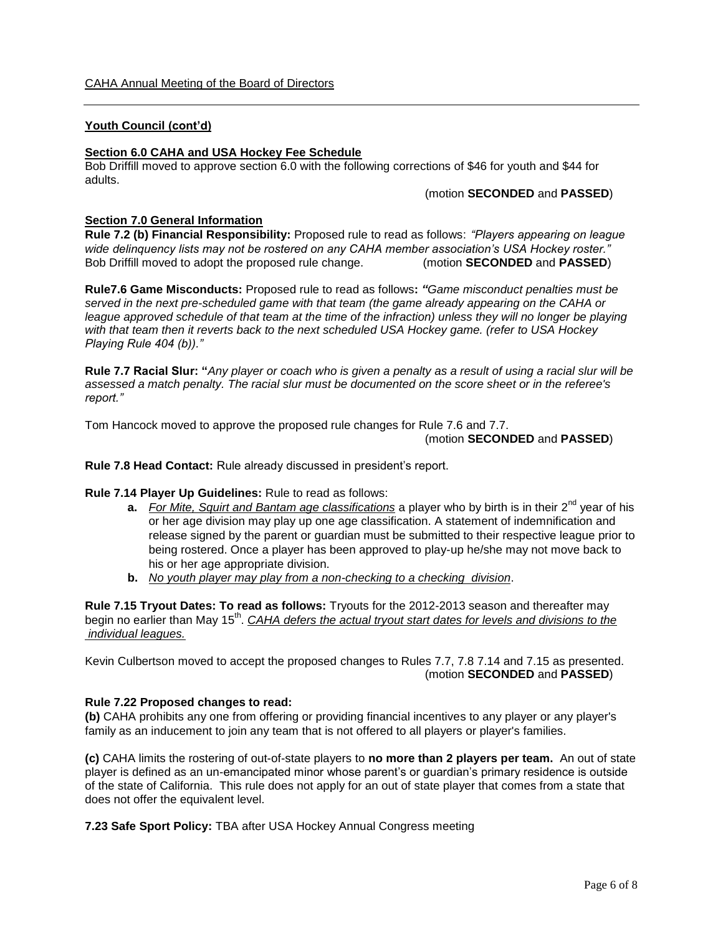## **Youth Council (cont'd)**

# **Section 6.0 CAHA and USA Hockey Fee Schedule**

Bob Driffill moved to approve section 6.0 with the following corrections of \$46 for youth and \$44 for adults.

(motion **SECONDED** and **PASSED**)

## **Section 7.0 General Information**

**Rule 7.2 (b) Financial Responsibility:** Proposed rule to read as follows: *"Players appearing on league wide delinquency lists may not be rostered on any CAHA member association's USA Hockey roster."* Bob Driffill moved to adopt the proposed rule change. (motion **SECONDED** and **PASSED**)

**Rule7.6 Game Misconducts:** Proposed rule to read as follows**:** *"Game misconduct penalties must be served in the next pre-scheduled game with that team (the game already appearing on the CAHA or league approved schedule of that team at the time of the infraction) unless they will no longer be playing with that team then it reverts back to the next scheduled USA Hockey game. (refer to USA Hockey Playing Rule 404 (b))."*

**Rule 7.7 Racial Slur: "***Any player or coach who is given a penalty as a result of using a racial slur will be assessed a match penalty. The racial slur must be documented on the score sheet or in the referee's report."*

Tom Hancock moved to approve the proposed rule changes for Rule 7.6 and 7.7.

### (motion **SECONDED** and **PASSED**)

**Rule 7.8 Head Contact:** Rule already discussed in president's report.

## **Rule 7.14 Player Up Guidelines:** Rule to read as follows:

- **a.** *For Mite, Squirt and Bantam age classifications* a player who by birth is in their 2<sup>nd</sup> year of his or her age division may play up one age classification. A statement of indemnification and release signed by the parent or guardian must be submitted to their respective league prior to being rostered. Once a player has been approved to play-up he/she may not move back to his or her age appropriate division.
- **b.** *No youth player may play from a non-checking to a checking division*.

**Rule 7.15 Tryout Dates: To read as follows:** Tryouts for the 2012-2013 season and thereafter may begin no earlier than May 15<sup>th</sup>. *CAHA defers the actual tryout start dates for levels and divisions to the individual leagues.*

Kevin Culbertson moved to accept the proposed changes to Rules 7.7, 7.8 7.14 and 7.15 as presented. (motion **SECONDED** and **PASSED**)

## **Rule 7.22 Proposed changes to read:**

**(b)** CAHA prohibits any one from offering or providing financial incentives to any player or any player's family as an inducement to join any team that is not offered to all players or player's families.

**(c)** CAHA limits the rostering of out-of-state players to **no more than 2 players per team.** An out of state player is defined as an un-emancipated minor whose parent's or guardian's primary residence is outside of the state of California. This rule does not apply for an out of state player that comes from a state that does not offer the equivalent level.

**7.23 Safe Sport Policy:** TBA after USA Hockey Annual Congress meeting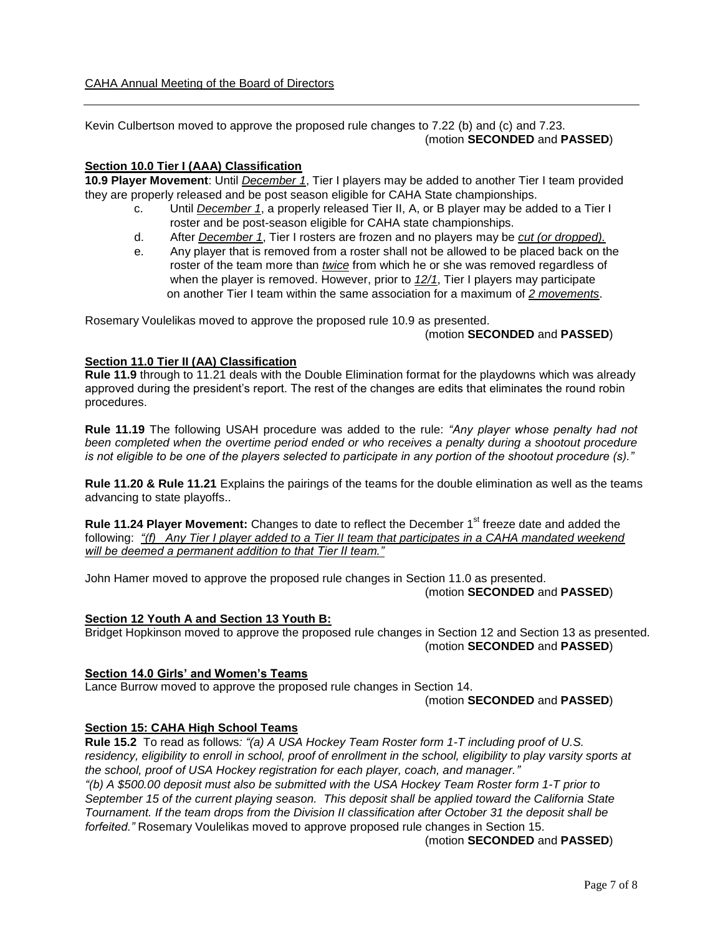Kevin Culbertson moved to approve the proposed rule changes to 7.22 (b) and (c) and 7.23. (motion **SECONDED** and **PASSED**)

# **Section 10.0 Tier I (AAA) Classification**

**10.9 Player Movement**: Until *December 1*, Tier I players may be added to another Tier I team provided they are properly released and be post season eligible for CAHA State championships.

- c. Until *December 1*, a properly released Tier II, A, or B player may be added to a Tier I roster and be post-season eligible for CAHA state championships.
- d. After *December 1*, Tier I rosters are frozen and no players may be *cut (or dropped).*
- e. Any player that is removed from a roster shall not be allowed to be placed back on the roster of the team more than *twice* from which he or she was removed regardless of when the player is removed. However, prior to *12/1*, Tier I players may participate on another Tier I team within the same association for a maximum of *2 movements*.

Rosemary Voulelikas moved to approve the proposed rule 10.9 as presented.

## (motion **SECONDED** and **PASSED**)

# **Section 11.0 Tier II (AA) Classification**

**Rule 11.9** through to 11.21 deals with the Double Elimination format for the playdowns which was already approved during the president's report. The rest of the changes are edits that eliminates the round robin procedures.

**Rule 11.19** The following USAH procedure was added to the rule: *"Any player whose penalty had not been completed when the overtime period ended or who receives a penalty during a shootout procedure is not eligible to be one of the players selected to participate in any portion of the shootout procedure (s)."*

**Rule 11.20 & Rule 11.21** Explains the pairings of the teams for the double elimination as well as the teams advancing to state playoffs..

**Rule 11.24 Player Movement:** Changes to date to reflect the December 1<sup>st</sup> freeze date and added the following: *"(f) Any Tier I player added to a Tier II team that participates in a CAHA mandated weekend will be deemed a permanent addition to that Tier II team."*

John Hamer moved to approve the proposed rule changes in Section 11.0 as presented. (motion **SECONDED** and **PASSED**)

## **Section 12 Youth A and Section 13 Youth B:**

Bridget Hopkinson moved to approve the proposed rule changes in Section 12 and Section 13 as presented. (motion **SECONDED** and **PASSED**)

## **Section 14.0 Girls' and Women's Teams**

Lance Burrow moved to approve the proposed rule changes in Section 14.

(motion **SECONDED** and **PASSED**)

## **Section 15: CAHA High School Teams**

**Rule 15.2** To read as follows*: "(a) A USA Hockey Team Roster form 1-T including proof of U.S.*  residency, eligibility to enroll in school, proof of enrollment in the school, eligibility to play varsity sports at *the school, proof of USA Hockey registration for each player, coach, and manager." "(b) A \$500.00 deposit must also be submitted with the USA Hockey Team Roster form 1-T prior to September 15 of the current playing season. This deposit shall be applied toward the California State Tournament. If the team drops from the Division II classification after October 31 the deposit shall be forfeited."* Rosemary Voulelikas moved to approve proposed rule changes in Section 15.

(motion **SECONDED** and **PASSED**)